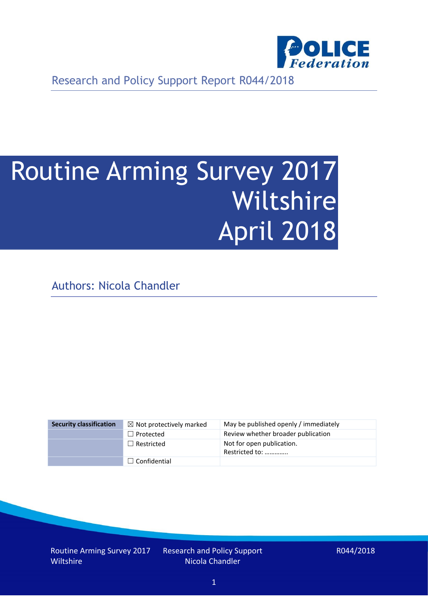

Research and Policy Support Report R044/2018

# Routine Arming Survey 2017 Wiltshire April 2018

Authors: Nicola Chandler

| <b>Security classification</b> | $\boxtimes$ Not protectively marked | May be published openly / immediately       |
|--------------------------------|-------------------------------------|---------------------------------------------|
|                                | $\Box$ Protected                    | Review whether broader publication          |
|                                | $\Box$ Restricted                   | Not for open publication.<br>Restricted to: |
|                                | $\Box$ Confidential                 |                                             |

Routine Arming Survey 2017 **Wiltshire** 

Research and Policy Support Nicola Chandler

R044/2018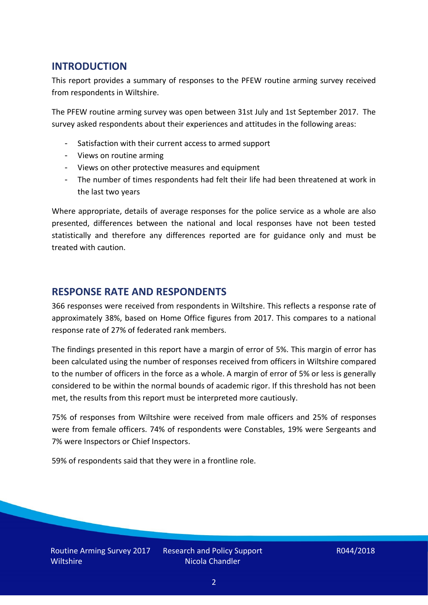## **INTRODUCTION**

This report provides a summary of responses to the PFEW routine arming survey received from respondents in Wiltshire.

The PFEW routine arming survey was open between 31st July and 1st September 2017. The survey asked respondents about their experiences and attitudes in the following areas:

- Satisfaction with their current access to armed support
- Views on routine arming
- Views on other protective measures and equipment
- The number of times respondents had felt their life had been threatened at work in the last two years

Where appropriate, details of average responses for the police service as a whole are also presented, differences between the national and local responses have not been tested statistically and therefore any differences reported are for guidance only and must be treated with caution.

### **RESPONSE RATE AND RESPONDENTS**

366 responses were received from respondents in Wiltshire. This reflects a response rate of approximately 38%, based on Home Office figures from 2017. This compares to a national response rate of 27% of federated rank members.

The findings presented in this report have a margin of error of 5%. This margin of error has been calculated using the number of responses received from officers in Wiltshire compared to the number of officers in the force as a whole. A margin of error of 5% or less is generally considered to be within the normal bounds of academic rigor. If this threshold has not been met, the results from this report must be interpreted more cautiously.

75% of responses from Wiltshire were received from male officers and 25% of responses were from female officers. 74% of respondents were Constables, 19% were Sergeants and 7% were Inspectors or Chief Inspectors.

59% of respondents said that they were in a frontline role.

Research and Policy Support Nicola Chandler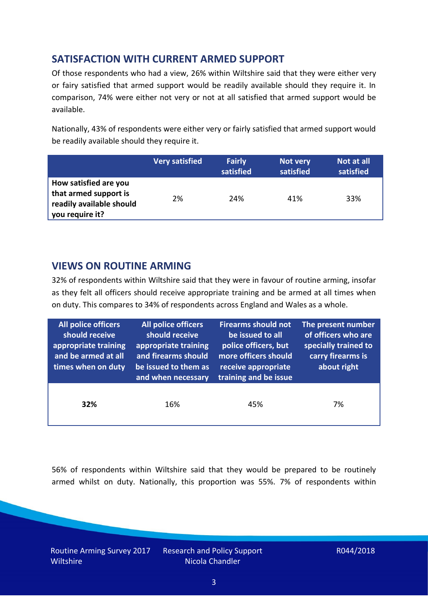# **SATISFACTION WITH CURRENT ARMED SUPPORT**

Of those respondents who had a view, 26% within Wiltshire said that they were either very or fairy satisfied that armed support would be readily available should they require it. In comparison, 74% were either not very or not at all satisfied that armed support would be available.

Nationally, 43% of respondents were either very or fairly satisfied that armed support would be readily available should they require it.

|                                                                                               | <b>Very satisfied</b> | <b>Fairly</b><br>satisfied | Not very<br>satisfied | Not at all<br>satisfied |
|-----------------------------------------------------------------------------------------------|-----------------------|----------------------------|-----------------------|-------------------------|
| How satisfied are you<br>that armed support is<br>readily available should<br>you require it? | 2%                    | 24%                        | 41%                   | 33%                     |

## **VIEWS ON ROUTINE ARMING**

32% of respondents within Wiltshire said that they were in favour of routine arming, insofar as they felt all officers should receive appropriate training and be armed at all times when on duty. This compares to 34% of respondents across England and Wales as a whole.

| <b>All police officers</b><br>should receive<br>appropriate training<br>and be armed at all<br>times when on duty | <b>All police officers</b><br>should receive<br>appropriate training<br>and firearms should<br>be issued to them as<br>and when necessary | <b>Firearms should not</b><br>be issued to all<br>police officers, but<br>more officers should<br>receive appropriate<br>training and be issue | The present number<br>of officers who are<br>specially trained to<br>carry firearms is<br>about right |  |
|-------------------------------------------------------------------------------------------------------------------|-------------------------------------------------------------------------------------------------------------------------------------------|------------------------------------------------------------------------------------------------------------------------------------------------|-------------------------------------------------------------------------------------------------------|--|
| 32%                                                                                                               | 16%                                                                                                                                       | 45%                                                                                                                                            | 7%                                                                                                    |  |

56% of respondents within Wiltshire said that they would be prepared to be routinely armed whilst on duty. Nationally, this proportion was 55%. 7% of respondents within

Routine Arming Survey 2017 **Wiltshire** 

Research and Policy Support Nicola Chandler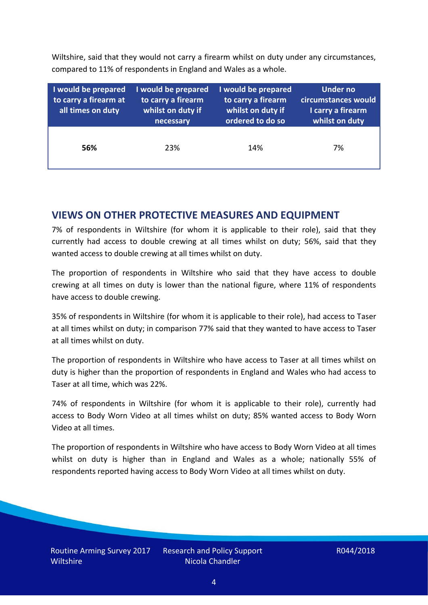Wiltshire, said that they would not carry a firearm whilst on duty under any circumstances, compared to 11% of respondents in England and Wales as a whole.

| I would be prepared<br>to carry a firearm at<br>all times on duty | I would be prepared<br>to carry a firearm<br>whilst on duty if<br>necessary | I would be prepared<br>to carry a firearm<br>whilst on duty if<br>ordered to do so | <b>Under no</b><br>circumstances would<br>I carry a firearm<br>whilst on duty |
|-------------------------------------------------------------------|-----------------------------------------------------------------------------|------------------------------------------------------------------------------------|-------------------------------------------------------------------------------|
| 56%                                                               | 23%                                                                         | 14%                                                                                | 7%                                                                            |

### **VIEWS ON OTHER PROTECTIVE MEASURES AND EQUIPMENT**

7% of respondents in Wiltshire (for whom it is applicable to their role), said that they currently had access to double crewing at all times whilst on duty; 56%, said that they wanted access to double crewing at all times whilst on duty.

The proportion of respondents in Wiltshire who said that they have access to double crewing at all times on duty is lower than the national figure, where 11% of respondents have access to double crewing.

35% of respondents in Wiltshire (for whom it is applicable to their role), had access to Taser at all times whilst on duty; in comparison 77% said that they wanted to have access to Taser at all times whilst on duty.

The proportion of respondents in Wiltshire who have access to Taser at all times whilst on duty is higher than the proportion of respondents in England and Wales who had access to Taser at all time, which was 22%.

74% of respondents in Wiltshire (for whom it is applicable to their role), currently had access to Body Worn Video at all times whilst on duty; 85% wanted access to Body Worn Video at all times.

The proportion of respondents in Wiltshire who have access to Body Worn Video at all times whilst on duty is higher than in England and Wales as a whole; nationally 55% of respondents reported having access to Body Worn Video at all times whilst on duty.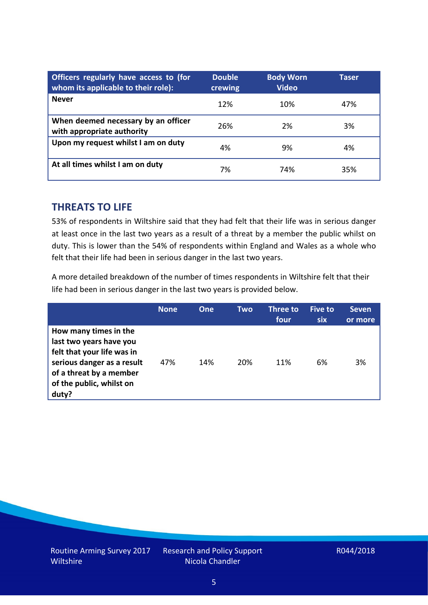| Officers regularly have access to (for<br>whom its applicable to their role): | <b>Double</b><br>crewing | <b>Body Worn</b><br><b>Video</b> | Taser |
|-------------------------------------------------------------------------------|--------------------------|----------------------------------|-------|
| <b>Never</b>                                                                  | 12%                      | 10%                              | 47%   |
| When deemed necessary by an officer<br>with appropriate authority             | 26%                      | 2%                               | 3%    |
| Upon my request whilst I am on duty                                           | 4%                       | 9%                               | 4%    |
| At all times whilst I am on duty                                              | 7%                       | 74%                              | 35%   |

#### **THREATS TO LIFE**

53% of respondents in Wiltshire said that they had felt that their life was in serious danger at least once in the last two years as a result of a threat by a member the public whilst on duty. This is lower than the 54% of respondents within England and Wales as a whole who felt that their life had been in serious danger in the last two years.

A more detailed breakdown of the number of times respondents in Wiltshire felt that their life had been in serious danger in the last two years is provided below.

|                                                                                                                                                                              | <b>None</b> | One | Two | Three to<br>four | Five to<br><b>six</b> | <b>Seven</b><br>or more |
|------------------------------------------------------------------------------------------------------------------------------------------------------------------------------|-------------|-----|-----|------------------|-----------------------|-------------------------|
| How many times in the<br>last two years have you<br>felt that your life was in<br>serious danger as a result<br>of a threat by a member<br>of the public, whilst on<br>duty? | 47%         | 14% | 20% | 11%              | 6%                    | 3%                      |

Research and Policy Support Nicola Chandler